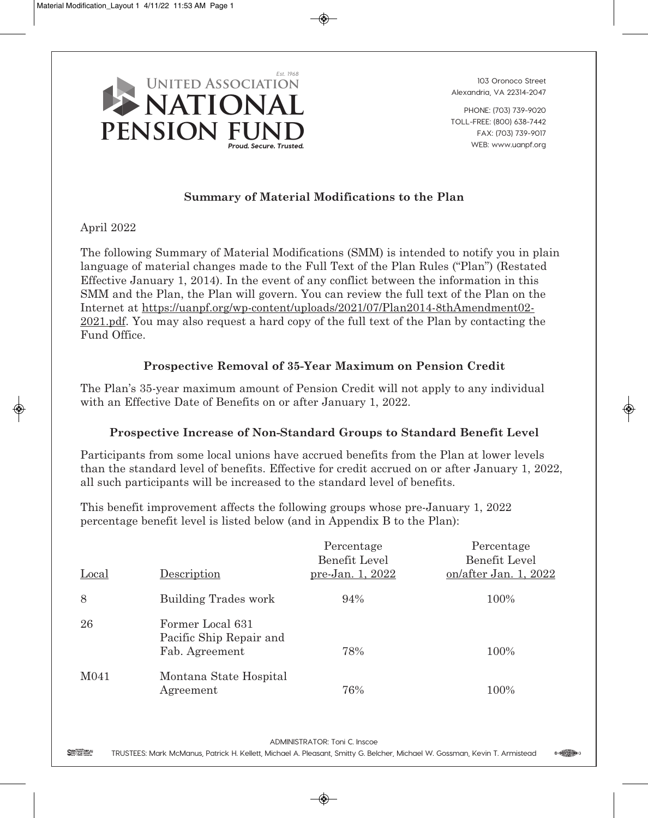

**103 Oronoco Street Alexandria, VA 22314-2047**

**PHONE: (703) 739-9020 TOLL-FREE: (800) 638-7442 FAX: (703) 739-9017 WEB: www.uanpf.org**

## **Summary of Material Modifications to the Plan**

April 2022

The following Summary of Material Modifications (SMM) is intended to notify you in plain language of material changes made to the Full Text of the Plan Rules ("Plan") (Restated Effective January 1, 2014). In the event of any conflict between the information in this SMM and the Plan, the Plan will govern. You can review the full text of the Plan on the Internet at https://uanpf.org/wp-content/uploads/2021/07/Plan2014-8thAmendment02- 2021.pdf. You may also request a hard copy of the full text of the Plan by contacting the Fund Office.

## **Prospective Removal of 35-Year Maximum on Pension Credit**

The Plan's 35-year maximum amount of Pension Credit will not apply to any individual with an Effective Date of Benefits on or after January 1, 2022.

## **Prospective Increase of Non-Standard Groups to Standard Benefit Level**

Participants from some local unions have accrued benefits from the Plan at lower levels than the standard level of benefits. Effective for credit accrued on or after January 1, 2022, all such participants will be increased to the standard level of benefits.

This benefit improvement affects the following groups whose pre-January 1, 2022 percentage benefit level is listed below (and in Appendix B to the Plan):

| Local            | Description                                                   | Percentage<br>Benefit Level<br>pre-Jan. 1, 2022 | Percentage<br>Benefit Level<br>on/after Jan. 1, 2022 |
|------------------|---------------------------------------------------------------|-------------------------------------------------|------------------------------------------------------|
| 8                | Building Trades work                                          | 94%                                             | 100%                                                 |
| 26               | Former Local 631<br>Pacific Ship Repair and<br>Fab. Agreement | 78%                                             | 100%                                                 |
| M <sub>041</sub> | Montana State Hospital<br>Agreement                           | 76%                                             | 100%                                                 |

**ADMINISTRATOR: Toni C. Inscoe**